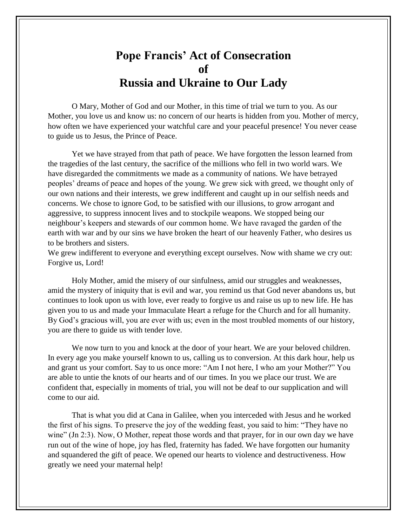## **Pope Francis' Act of Consecration of Russia and Ukraine to Our Lady**

O Mary, Mother of God and our Mother, in this time of trial we turn to you. As our Mother, you love us and know us: no concern of our hearts is hidden from you. Mother of mercy, how often we have experienced your watchful care and your peaceful presence! You never cease to guide us to Jesus, the Prince of Peace.

Yet we have strayed from that path of peace. We have forgotten the lesson learned from the tragedies of the last century, the sacrifice of the millions who fell in two world wars. We have disregarded the commitments we made as a community of nations. We have betrayed peoples' dreams of peace and hopes of the young. We grew sick with greed, we thought only of our own nations and their interests, we grew indifferent and caught up in our selfish needs and concerns. We chose to ignore God, to be satisfied with our illusions, to grow arrogant and aggressive, to suppress innocent lives and to stockpile weapons. We stopped being our neighbour's keepers and stewards of our common home. We have ravaged the garden of the earth with war and by our sins we have broken the heart of our heavenly Father, who desires us to be brothers and sisters.

We grew indifferent to everyone and everything except ourselves. Now with shame we cry out: Forgive us, Lord!

Holy Mother, amid the misery of our sinfulness, amid our struggles and weaknesses, amid the mystery of iniquity that is evil and war, you remind us that God never abandons us, but continues to look upon us with love, ever ready to forgive us and raise us up to new life. He has given you to us and made your Immaculate Heart a refuge for the Church and for all humanity. By God's gracious will, you are ever with us; even in the most troubled moments of our history, you are there to guide us with tender love.

We now turn to you and knock at the door of your heart. We are your beloved children. In every age you make yourself known to us, calling us to conversion. At this dark hour, help us and grant us your comfort. Say to us once more: "Am I not here, I who am your Mother?" You are able to untie the knots of our hearts and of our times. In you we place our trust. We are confident that, especially in moments of trial, you will not be deaf to our supplication and will come to our aid.

That is what you did at Cana in Galilee, when you interceded with Jesus and he worked the first of his signs. To preserve the joy of the wedding feast, you said to him: "They have no wine" (Jn 2:3). Now, O Mother, repeat those words and that prayer, for in our own day we have run out of the wine of hope, joy has fled, fraternity has faded. We have forgotten our humanity and squandered the gift of peace. We opened our hearts to violence and destructiveness. How greatly we need your maternal help!